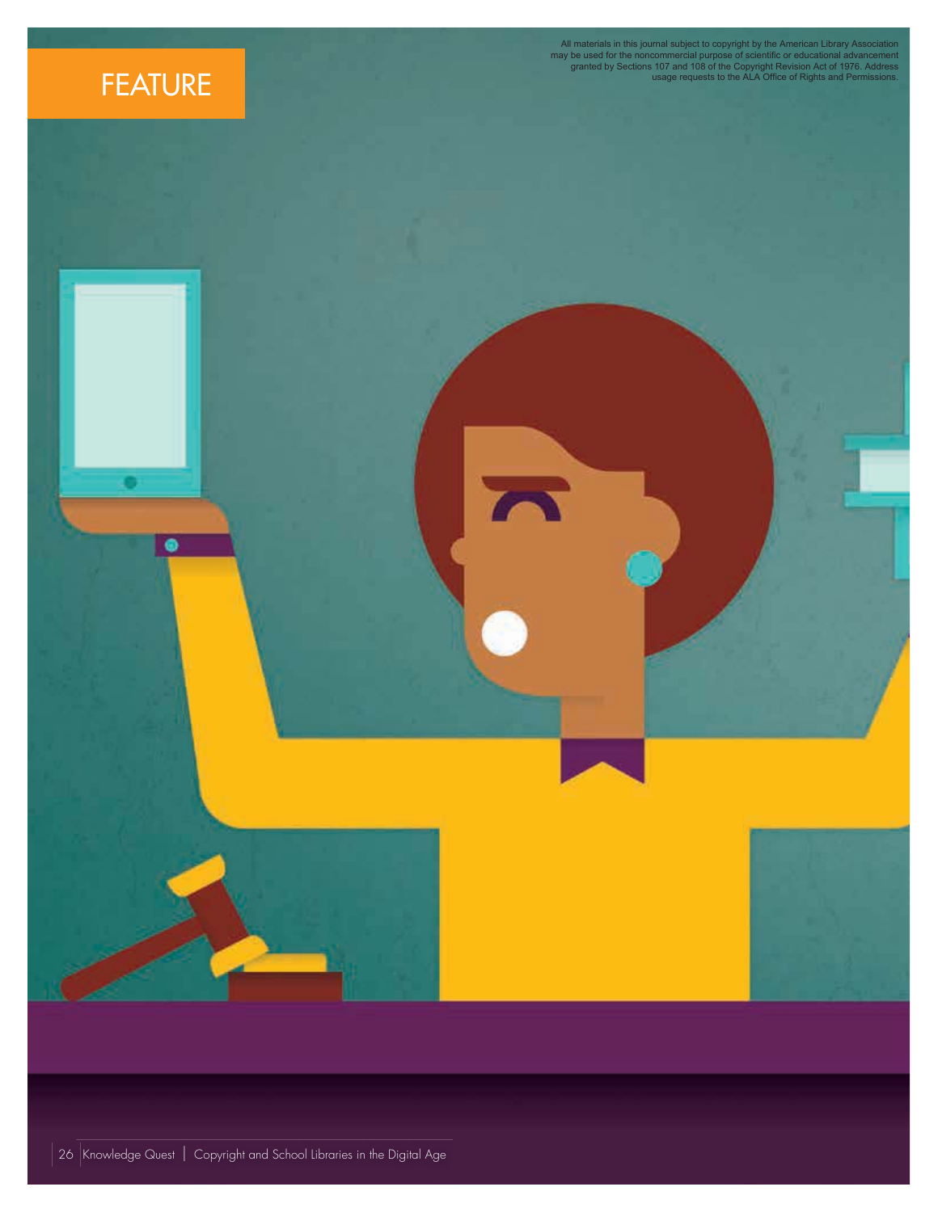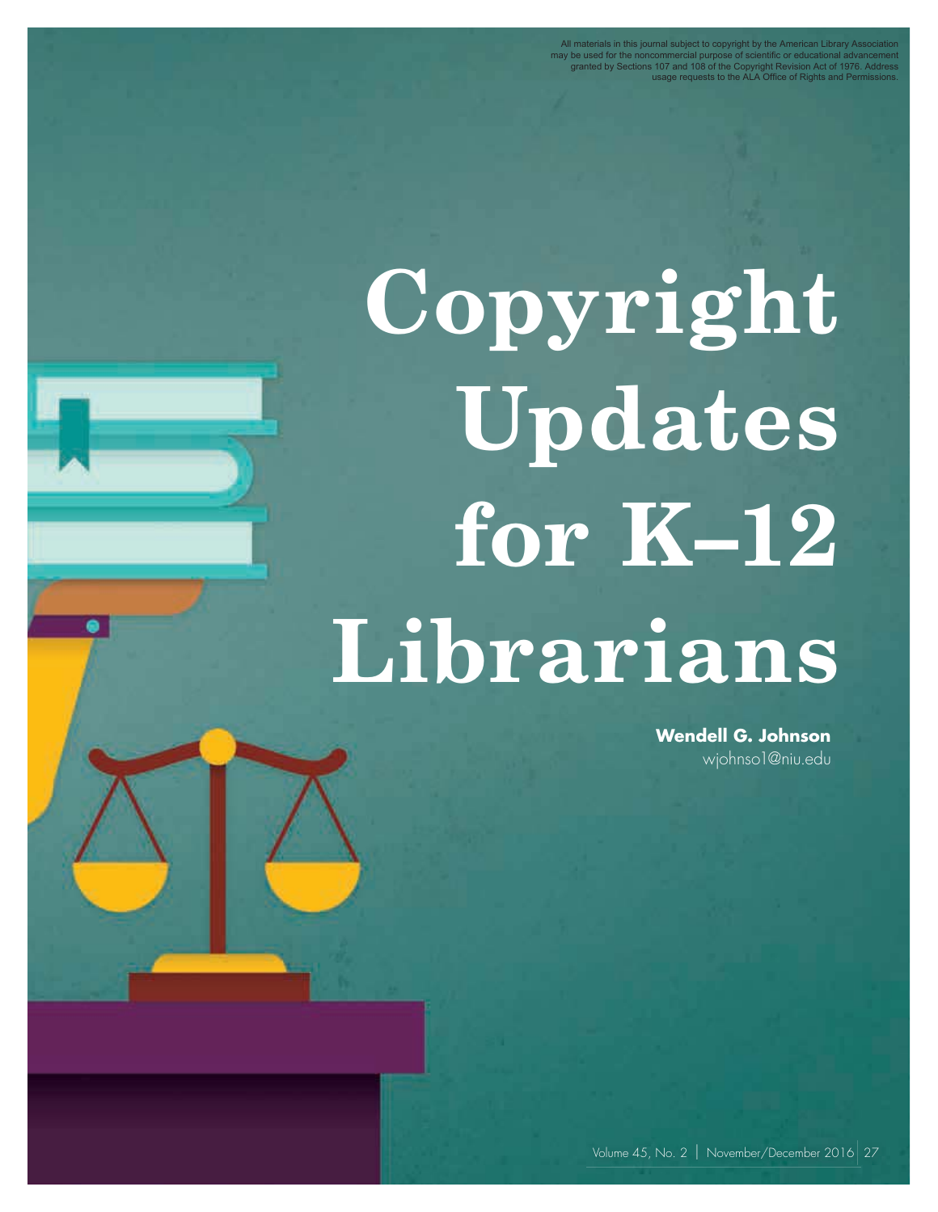All materials in this journal subject to copyright by the American Library Association<br>may be used for the noncommercial purpose of scientific or educational advancement<br>granted by Sections 107 and 108 of the Copyright Rev

# **Copyright Updates for K–12 Librarians**

**Wendell G. Johnson** wjohnso1@niu.edu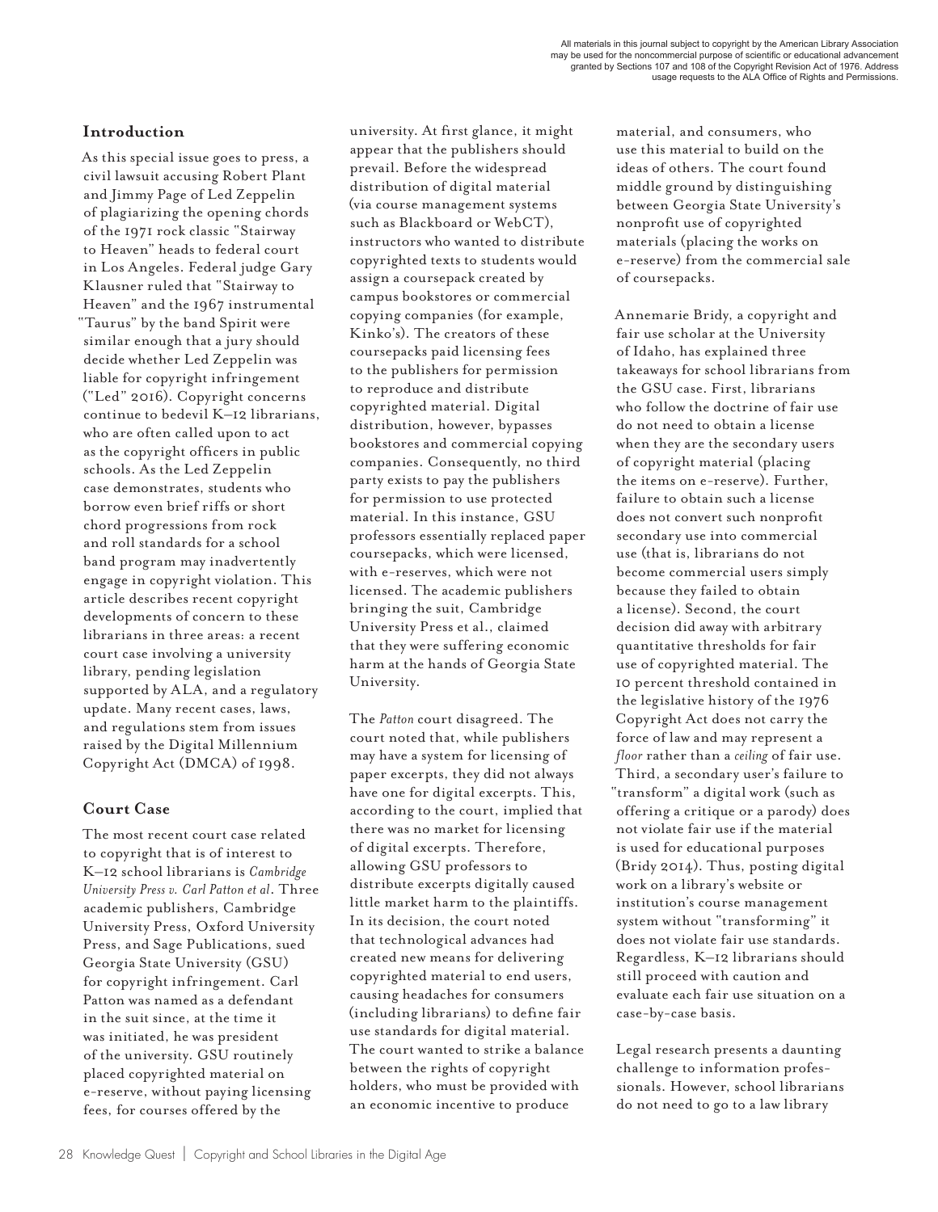### **Introduction**

As this special issue goes to press, a civil lawsuit accusing Robert Plant and Jimmy Page of Led Zeppelin of plagiarizing the opening chords of the 1971 rock classic "Stairway to Heaven" heads to federal court in Los Angeles. Federal judge Gary Klausner ruled that "Stairway to Heaven" and the 1967 instrumental "Taurus" by the band Spirit were similar enough that a jury should decide whether Led Zeppelin was liable for copyright infringement ("Led" 2016). Copyright concerns continue to bedevil K–12 librarians, who are often called upon to act as the copyright officers in public schools. As the Led Zeppelin case demonstrates, students who borrow even brief riffs or short chord progressions from rock and roll standards for a school band program may inadvertently engage in copyright violation. This article describes recent copyright developments of concern to these librarians in three areas: a recent court case involving a university library, pending legislation supported by ALA, and a regulatory update. Many recent cases, laws, and regulations stem from issues raised by the Digital Millennium Copyright Act (DMCA) of 1998.

## **Court Case**

The most recent court case related to copyright that is of interest to K–12 school librarians is *Cambridge University Press v. Carl Patton et al*. Three academic publishers, Cambridge University Press, Oxford University Press, and Sage Publications, sued Georgia State University (GSU) for copyright infringement. Carl Patton was named as a defendant in the suit since, at the time it was initiated, he was president of the university. GSU routinely placed copyrighted material on e-reserve, without paying licensing fees, for courses offered by the

university. At first glance, it might appear that the publishers should prevail. Before the widespread distribution of digital material (via course management systems such as Blackboard or WebCT), instructors who wanted to distribute copyrighted texts to students would assign a coursepack created by campus bookstores or commercial copying companies (for example, Kinko's). The creators of these coursepacks paid licensing fees to the publishers for permission to reproduce and distribute copyrighted material. Digital distribution, however, bypasses bookstores and commercial copying companies. Consequently, no third party exists to pay the publishers for permission to use protected material. In this instance, GSU professors essentially replaced paper coursepacks, which were licensed, with e-reserves, which were not licensed. The academic publishers bringing the suit, Cambridge University Press et al., claimed that they were suffering economic harm at the hands of Georgia State University.

The *Patton* court disagreed. The court noted that, while publishers may have a system for licensing of paper excerpts, they did not always have one for digital excerpts. This, according to the court, implied that there was no market for licensing of digital excerpts. Therefore, allowing GSU professors to distribute excerpts digitally caused little market harm to the plaintiffs. In its decision, the court noted that technological advances had created new means for delivering copyrighted material to end users, causing headaches for consumers (including librarians) to define fair use standards for digital material. The court wanted to strike a balance between the rights of copyright holders, who must be provided with an economic incentive to produce

material, and consumers, who use this material to build on the ideas of others. The court found middle ground by distinguishing between Georgia State University's nonprofit use of copyrighted materials (placing the works on e-reserve) from the commercial sale of coursepacks.

Annemarie Bridy, a copyright and fair use scholar at the University of Idaho, has explained three takeaways for school librarians from the GSU case. First, librarians who follow the doctrine of fair use do not need to obtain a license when they are the secondary users of copyright material (placing the items on e-reserve). Further, failure to obtain such a license does not convert such nonprofit secondary use into commercial use (that is, librarians do not become commercial users simply because they failed to obtain a license). Second, the court decision did away with arbitrary quantitative thresholds for fair use of copyrighted material. The 10 percent threshold contained in the legislative history of the 1976 Copyright Act does not carry the force of law and may represent a *floor* rather than a *ceiling* of fair use. Third, a secondary user's failure to "transform" a digital work (such as offering a critique or a parody) does not violate fair use if the material is used for educational purposes (Bridy 2014). Thus, posting digital work on a library's website or institution's course management system without "transforming" it does not violate fair use standards. Regardless, K–12 librarians should still proceed with caution and evaluate each fair use situation on a case-by-case basis.

Legal research presents a daunting challenge to information professionals. However, school librarians do not need to go to a law library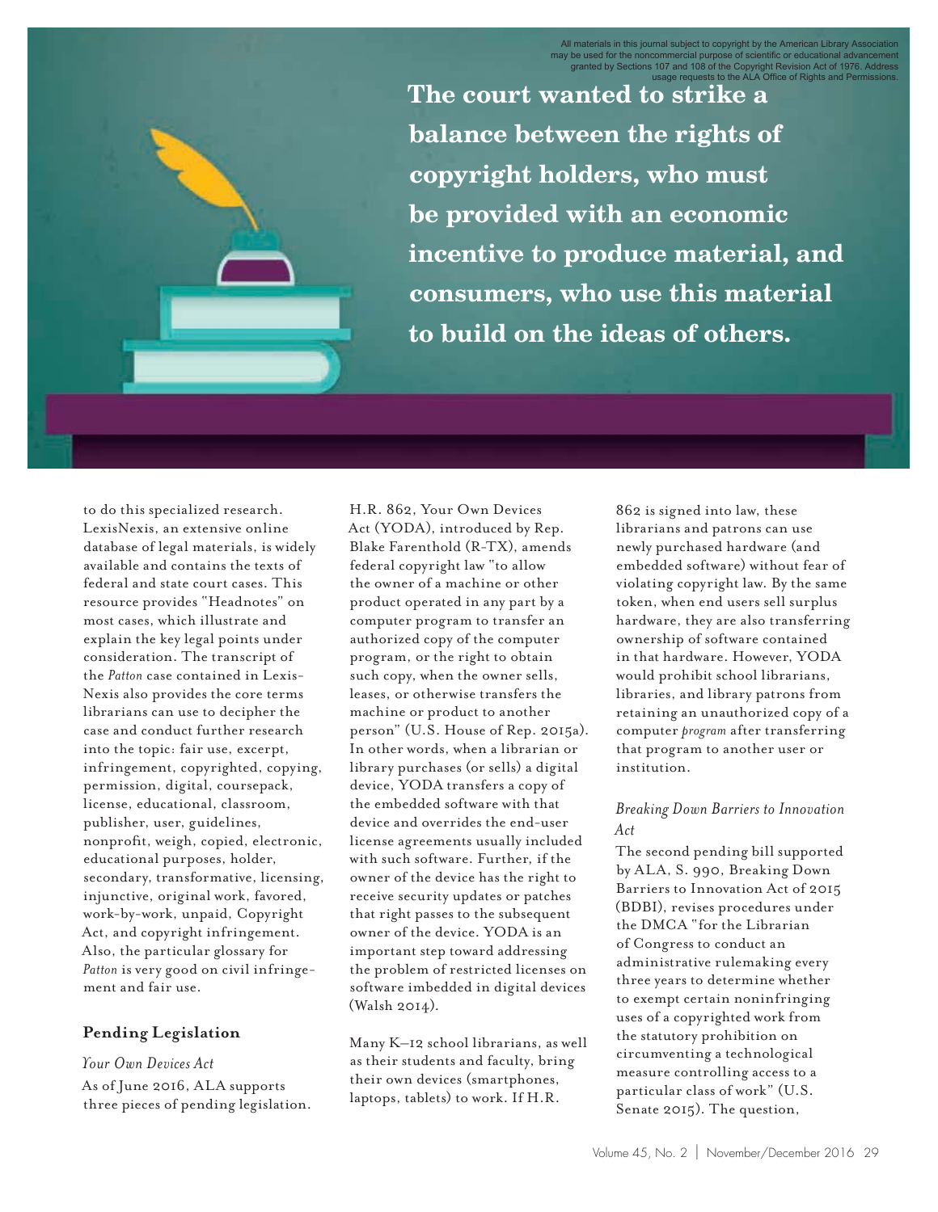**The court wanted to strike a balance between the rights of copyright holders, who must be provided with an economic incentive to produce material, and consumers, who use this material to build on the ideas of others.** 

to do this specialized research. LexisNexis, an extensive online database of legal materials, is widely available and contains the texts of federal and state court cases. This resource provides "Headnotes" on most cases, which illustrate and explain the key legal points under consideration. The transcript of the *Patton* case contained in Lexis-Nexis also provides the core terms librarians can use to decipher the case and conduct further research into the topic: fair use, excerpt, infringement, copyrighted, copying, permission, digital, coursepack, license, educational, classroom, publisher, user, guidelines, nonprofit, weigh, copied, electronic, educational purposes, holder, secondary, transformative, licensing, injunctive, original work, favored, work-by-work, unpaid, Copyright Act, and copyright infringement. Also, the particular glossary for *Patton* is very good on civil infringement and fair use.

#### **Pending Legislation**

*Your Own Devices Act* As of June 2016, ALA supports three pieces of pending legislation.

H.R. 862, Your Own Devices Act (YODA), introduced by Rep. Blake Farenthold (R-TX), amends federal copyright law "to allow the owner of a machine or other product operated in any part by a computer program to transfer an authorized copy of the computer program, or the right to obtain such copy, when the owner sells, leases, or otherwise transfers the machine or product to another person" (U.S. House of Rep. 2015a). In other words, when a librarian or library purchases (or sells) a digital device, YODA transfers a copy of the embedded software with that device and overrides the end-user license agreements usually included with such software. Further, if the owner of the device has the right to receive security updates or patches that right passes to the subsequent owner of the device. YODA is an important step toward addressing the problem of restricted licenses on software imbedded in digital devices (Walsh 2014).

Many K–12 school librarians, as well as their students and faculty, bring their own devices (smartphones, laptops, tablets) to work. If H.R.

862 is signed into law, these librarians and patrons can use newly purchased hardware (and embedded software) without fear of violating copyright law. By the same token, when end users sell surplus hardware, they are also transferring ownership of software contained in that hardware. However, YODA would prohibit school librarians, libraries, and library patrons from retaining an unauthorized copy of a computer *program* after transferring that program to another user or institution.

#### *Breaking Down Barriers to Innovation Act*

The second pending bill supported by ALA, S. 990, Breaking Down Barriers to Innovation Act of 2015 (BDBI), revises procedures under the DMCA "for the Librarian of Congress to conduct an administrative rulemaking every three years to determine whether to exempt certain noninfringing uses of a copyrighted work from the statutory prohibition on circumventing a technological measure controlling access to a particular class of work" (U.S. Senate 2015). The question,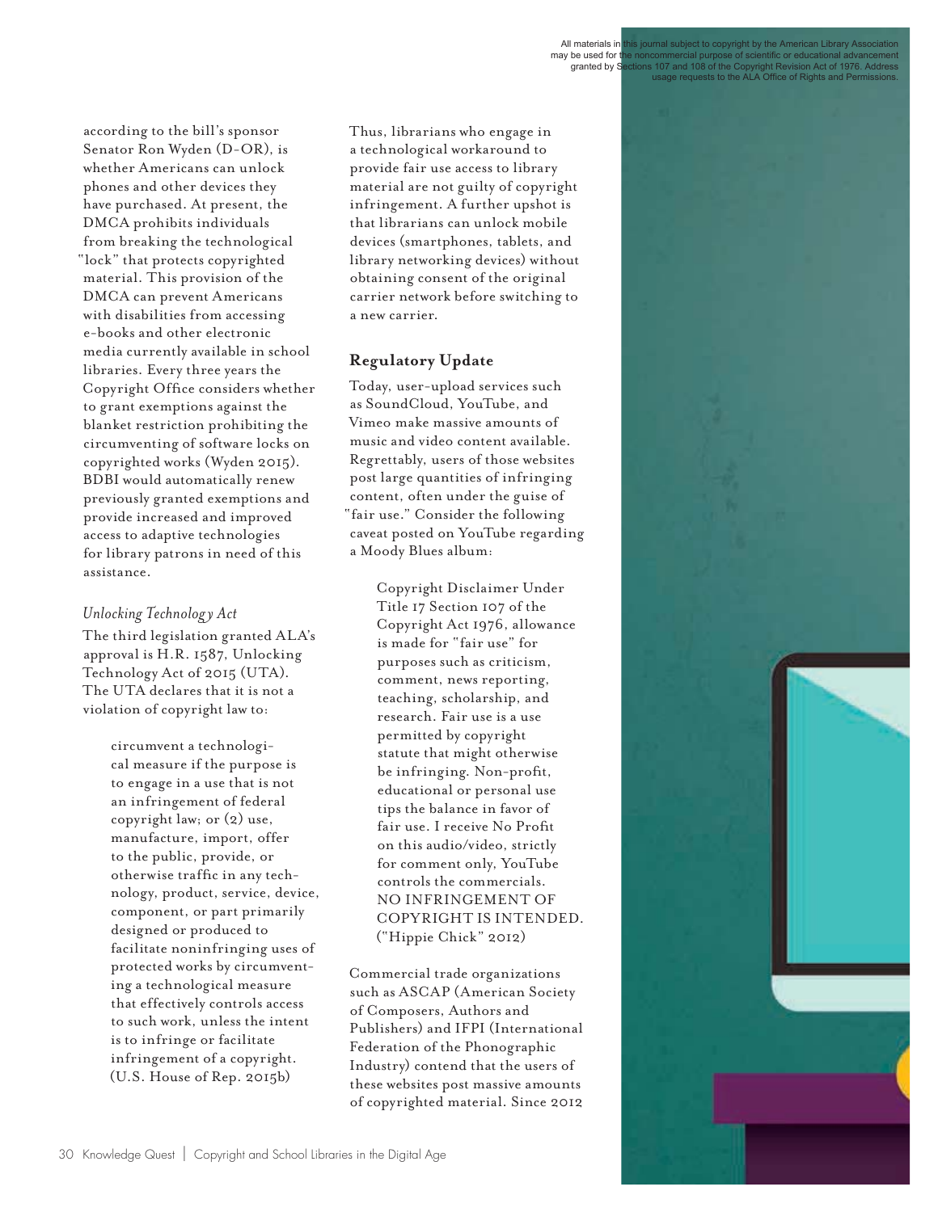granted by Sections 107 and 108 of the Copyright Revision Act of 1976. Address usage requests to the ALA Office of Rights and Permissions.

according to the bill's sponsor Senator Ron Wyden (D-OR), is whether Americans can unlock phones and other devices they have purchased. At present, the DMCA prohibits individuals from breaking the technological "lock" that protects copyrighted material. This provision of the DMCA can prevent Americans with disabilities from accessing e-books and other electronic media currently available in school libraries. Every three years the Copyright Office considers whether to grant exemptions against the blanket restriction prohibiting the circumventing of software locks on copyrighted works (Wyden 2015). BDBI would automatically renew previously granted exemptions and provide increased and improved access to adaptive technologies for library patrons in need of this assistance.

#### *Unlocking Technolog y Act*

The third legislation granted ALA's approval is H.R. 1587, Unlocking Technology Act of 2015 (UTA). The UTA declares that it is not a violation of copyright law to:

> circumvent a technological measure if the purpose is to engage in a use that is not an infringement of federal copyright law; or  $(2)$  use, manufacture, import, offer to the public, provide, or otherwise traffic in any technology, product, service, device, component, or part primarily designed or produced to facilitate noninfringing uses of protected works by circumventing a technological measure that effectively controls access to such work, unless the intent is to infringe or facilitate infringement of a copyright. (U.S. House of Rep. 2015b)

Thus, librarians who engage in a technological workaround to provide fair use access to library material are not guilty of copyright infringement. A further upshot is that librarians can unlock mobile devices (smartphones, tablets, and library networking devices) without obtaining consent of the original carrier network before switching to a new carrier.

# **Regulatory Update**

Today, user-upload services such as SoundCloud, YouTube, and Vimeo make massive amounts of music and video content available. Regrettably, users of those websites post large quantities of infringing content, often under the guise of "fair use." Consider the following caveat posted on YouTube regarding a Moody Blues album:

> Copyright Disclaimer Under Title 17 Section 107 of the Copyright Act 1976, allowance is made for "fair use" for purposes such as criticism, comment, news reporting, teaching, scholarship, and research. Fair use is a use permitted by copyright statute that might otherwise be infringing. Non-profit, educational or personal use tips the balance in favor of fair use. I receive No Profit on this audio/video, strictly for comment only, YouTube controls the commercials. NO INFRINGEMENT OF COPYRIGHT IS INTENDED. ("Hippie Chick" 2012)

Commercial trade organizations such as ASCAP (American Society of Composers, Authors and Publishers) and IFPI (International Federation of the Phonographic Industry) contend that the users of these websites post massive amounts of copyrighted material. Since 2012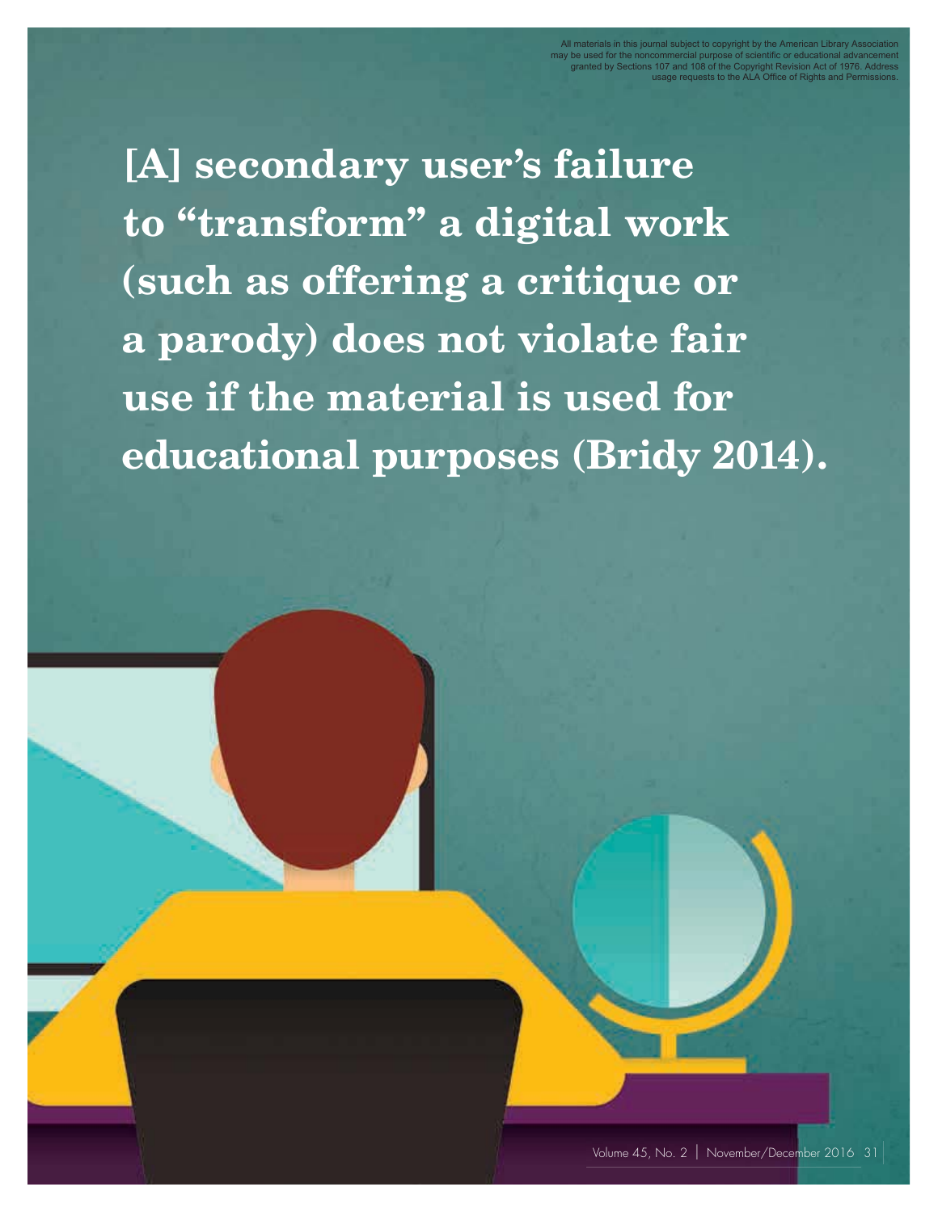**[A] secondary user's failure to "transform" a digital work (such as offering a critique or a parody) does not violate fair use if the material is used for educational purposes (Bridy 2014).**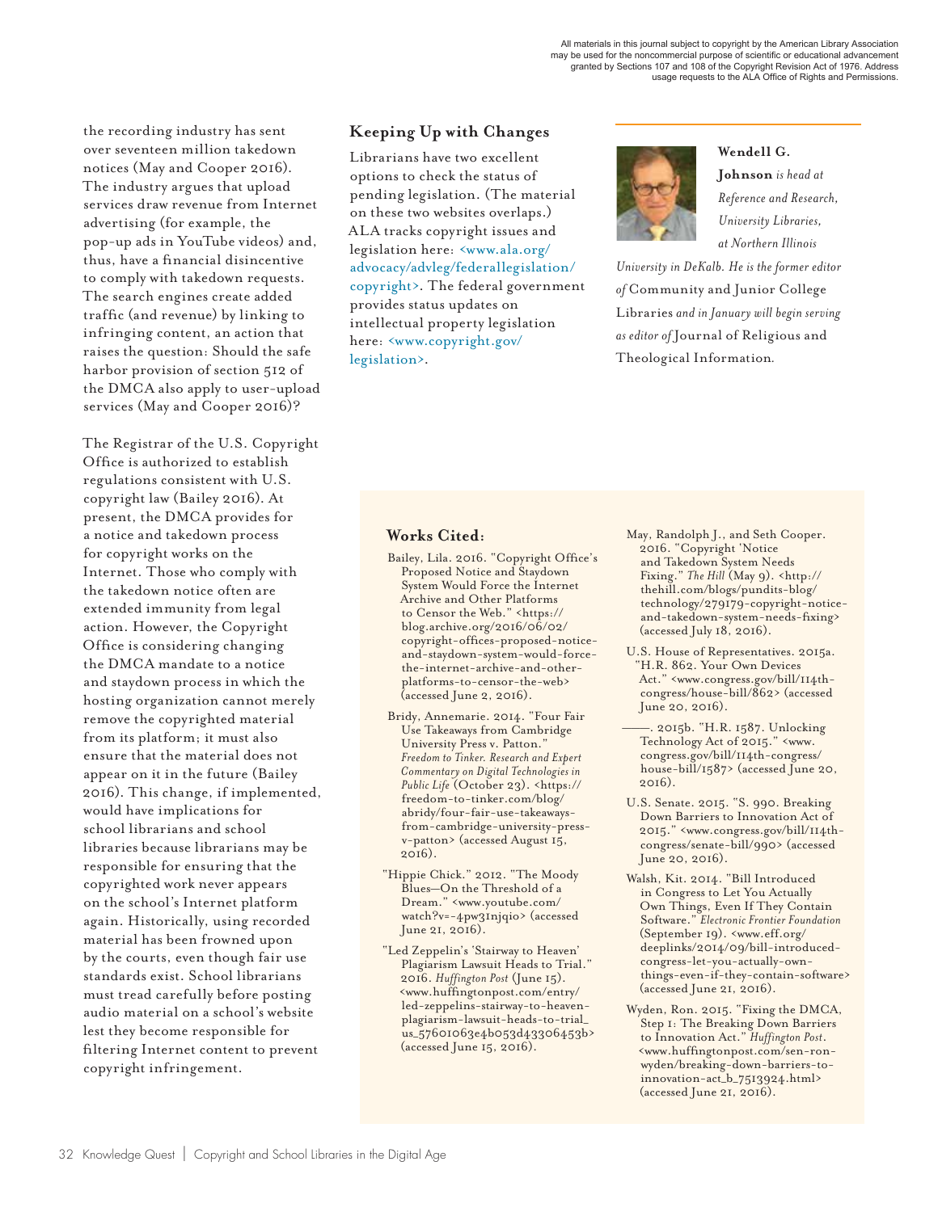the recording industry has sent over seventeen million takedown notices (May and Cooper 2016). The industry argues that upload services draw revenue from Internet advertising (for example, the pop-up ads in YouTube videos) and, thus, have a financial disincentive to comply with takedown requests. The search engines create added traffic (and revenue) by linking to infringing content, an action that raises the question: Should the safe harbor provision of section 512 of the DMCA also apply to user-upload services (May and Cooper 2016)?

The Registrar of the U.S. Copyright Office is authorized to establish regulations consistent with U.S. copyright law (Bailey 2016). At present, the DMCA provides for a notice and takedown process for copyright works on the Internet. Those who comply with the takedown notice often are extended immunity from legal action. However, the Copyright Office is considering changing the DMCA mandate to a notice and staydown process in which the hosting organization cannot merely remove the copyrighted material from its platform; it must also ensure that the material does not appear on it in the future (Bailey 2016). This change, if implemented, would have implications for school librarians and school libraries because librarians may be responsible for ensuring that the copyrighted work never appears on the school's Internet platform again. Historically, using recorded material has been frowned upon by the courts, even though fair use standards exist. School librarians must tread carefully before posting audio material on a school's website lest they become responsible for filtering Internet content to prevent copyright infringement.

# **Keeping Up with Changes**

Librarians have two excellent options to check the status of pending legislation. (The material on these two websites overlaps.) ALA tracks copyright issues and legislation here: <www.ala.org/ advocacy/advleg/federallegislation/ copyright>. The federal government provides status updates on intellectual property legislation here: <www.copyright.gov/ legislation>.



**Wendell G. Johnson** *is head at Reference and Research, University Libraries, at Northern Illinois* 

*University in DeKalb. He is the former editor of* Community and Junior College Libraries *and in January will begin serving as editor of* Journal of Religious and Theological Information*.*

#### **Works Cited:**

- Bailey, Lila. 2016. "Copyright Office's Proposed Notice and Staydown System Would Force the Internet Archive and Other Platforms to Censor the Web." <https:// blog.archive.org/2016/06/02/ copyright-offices-proposed-noticeand-staydown-system-would-forcethe-internet-archive-and-otherplatforms-to-censor-the-web> (accessed June 2, 2016).
- Bridy, Annemarie. 2014. "Four Fair Use Takeaways from Cambridge University Press v. Patton." *Freedom to Tinker. Research and Expert Commentary on Digital Technologies in Public Life* (October 23). <https:// freedom-to-tinker.com/blog/ abridy/four-fair-use-takeawaysfrom-cambridge-university-pressv-patton> (accessed August 15, 2016).
- "Hippie Chick." 2012. "The Moody Blues—On the Threshold of a Dream." <www.youtube.com/ watch?v=-4pw31njqio> (accessed June 21, 2016).
- "Led Zeppelin's 'Stairway to Heaven' Plagiarism Lawsuit Heads to Trial." 2016. *Huffington Post* (June 15). <www.huffingtonpost.com/entry/ led-zeppelins-stairway-to-heavenplagiarism-lawsuit-heads-to-trial\_ us\_57601063e4b053d43306453b> (accessed June 15, 2016).
- May, Randolph J., and Seth Cooper. 2016. "Copyright 'Notice and Takedown System Needs Fixing." *The Hill* (May 9). <http:// thehill.com/blogs/pundits-blog/ technology/279179-copyright-noticeand-takedown-system-needs-fixing> (accessed July 18, 2016).
- U.S. House of Representatives. 2015a. "H.R. 862. Your Own Devices Act." <www.congress.gov/bill/114thcongress/house-bill/862> (accessed June 20, 2016).
- ———. 2015b. "H.R. 1587. Unlocking Technology Act of 2015." <www. congress.gov/bill/114th-congress/ house-bill/1587> (accessed June 20, 2016).
- U.S. Senate. 2015. "S. 990. Breaking Down Barriers to Innovation Act of 2015." <www.congress.gov/bill/114thcongress/senate-bill/990> (accessed June 20, 2016).
- Walsh, Kit. 2014. "Bill Introduced in Congress to Let You Actually Own Things, Even If They Contain Software." *Electronic Frontier Foundation* (September 19). <www.eff.org/ deeplinks/2014/09/bill-introducedcongress-let-you-actually-ownthings-even-if-they-contain-software> (accessed June 21, 2016).
- Wyden, Ron. 2015. "Fixing the DMCA, Step 1: The Breaking Down Barriers to Innovation Act." *Huffington Post*. <www.huffingtonpost.com/sen-ronwyden/breaking-down-barriers-toinnovation-act\_b\_7513924.html> (accessed June 21, 2016).